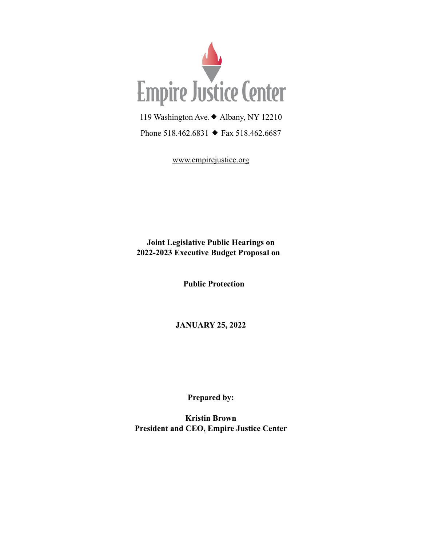

119 Washington Ave.◆ Albany, NY 12210

Phone 518.462.6831 ◆ Fax 518.462.6687

[www.empirejustice.org](http://www.empirejustice.org)

**Joint Legislative Public Hearings on 2022-2023 Executive Budget Proposal on** 

 **Public Protection**

**JANUARY 25, 2022**

**Prepared by:**

**Kristin Brown President and CEO, Empire Justice Center**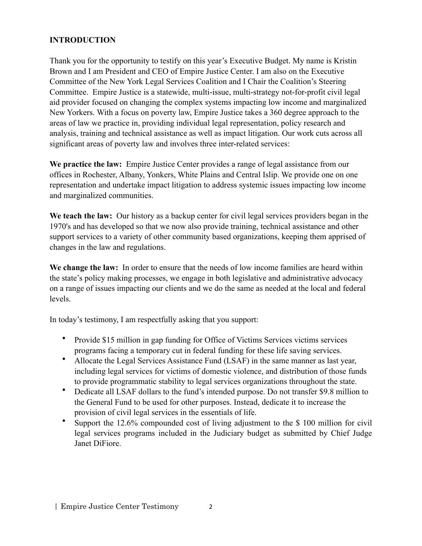# **INTRODUCTION**

Thank you for the opportunity to testify on this year's Executive Budget. My name is Kristin Brown and I am President and CEO of Empire Justice Center. I am also on the Executive Committee of the New York Legal Services Coalition and I Chair the Coalition's Steering Committee. Empire Justice is a statewide, multi-issue, multi-strategy not-for-profit civil legal aid provider focused on changing the complex systems impacting low income and marginalized New Yorkers. With a focus on poverty law, Empire Justice takes a 360 degree approach to the areas of law we practice in, providing individual legal representation, policy research and analysis, training and technical assistance as well as impact litigation. Our work cuts across all significant areas of poverty law and involves three inter-related services:

**We practice the law:** Empire Justice Center provides a range of legal assistance from our offices in Rochester, Albany, Yonkers, White Plains and Central Islip. We provide one on one representation and undertake impact litigation to address systemic issues impacting low income and marginalized communities.

**We teach the law:** Our history as a backup center for civil legal services providers began in the 1970's and has developed so that we now also provide training, technical assistance and other support services to a variety of other community based organizations, keeping them apprised of changes in the law and regulations.

**We change the law:** In order to ensure that the needs of low income families are heard within the state's policy making processes, we engage in both legislative and administrative advocacy on a range of issues impacting our clients and we do the same as needed at the local and federal levels.

In today's testimony, I am respectfully asking that you support:

- Provide \$15 million in gap funding for Office of Victims Services victims services programs facing a temporary cut in federal funding for these life saving services.
- Allocate the Legal Services Assistance Fund (LSAF) in the same manner as last year, including legal services for victims of domestic violence, and distribution of those funds to provide programmatic stability to legal services organizations throughout the state.
- Dedicate all LSAF dollars to the fund's intended purpose. Do not transfer \$9.8 million to the General Fund to be used for other purposes. Instead, dedicate it to increase the provision of civil legal services in the essentials of life.
- Support the 12.6% compounded cost of living adjustment to the \$ 100 million for civil legal services programs included in the Judiciary budget as submitted by Chief Judge Janet DiFiore.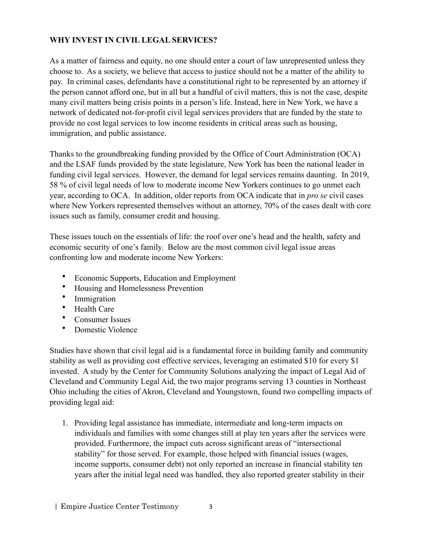# **WHY INVEST IN CIVIL LEGAL SERVICES?**

As a matter of fairness and equity, no one should enter a court of law unrepresented unless they choose to. As a society, we believe that access to justice should not be a matter of the ability to pay. In criminal cases, defendants have a constitutional right to be represented by an attorney if the person cannot afford one, but in all but a handful of civil matters, this is not the case, despite many civil matters being crisis points in a person's life. Instead, here in New York, we have a network of dedicated not-for-profit civil legal services providers that are funded by the state to provide no cost legal services to low income residents in critical areas such as housing, immigration, and public assistance.

Thanks to the groundbreaking funding provided by the Office of Court Administration (OCA) and the LSAF funds provided by the state legislature, New York has been the national leader in funding civil legal services. However, the demand for legal services remains daunting. In 2019, 58 % of civil legal needs of low to moderate income New Yorkers continues to go unmet each year, according to OCA. In addition, older reports from OCA indicate that in *pro se* civil cases where New Yorkers represented themselves without an attorney, 70% of the cases dealt with core issues such as family, consumer credit and housing.

These issues touch on the essentials of life: the roof over one's head and the health, safety and economic security of one's family. Below are the most common civil legal issue areas confronting low and moderate income New Yorkers:

- Economic Supports, Education and Employment
- Housing and Homelessness Prevention<br>• Immioration
- **Immigration**
- Health Care
- Consumer Issues
- Domestic Violence

Studies have shown that civil legal aid is a fundamental force in building family and community stability as well as providing cost effective services, leveraging an estimated \$10 for every \$1 invested. A study by the Center for Community Solutions analyzing the impact of Legal Aid of Cleveland and Community Legal Aid, the two major programs serving 13 counties in Northeast Ohio including the cities of Akron, Cleveland and Youngstown, found two compelling impacts of providing legal aid:

1. Providing legal assistance has immediate, intermediate and long-term impacts on individuals and families with some changes still at play ten years after the services were provided. Furthermore, the impact cuts across significant areas of "intersectional stability" for those served. For example, those helped with financial issues (wages, income supports, consumer debt) not only reported an increase in financial stability ten years after the initial legal need was handled, they also reported greater stability in their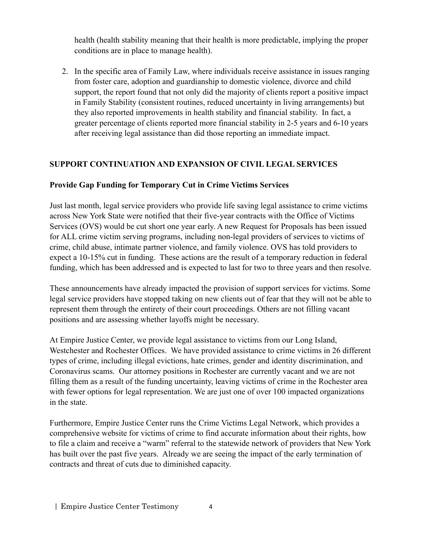health (health stability meaning that their health is more predictable, implying the proper conditions are in place to manage health).

2. In the specific area of Family Law, where individuals receive assistance in issues ranging from foster care, adoption and guardianship to domestic violence, divorce and child support, the report found that not only did the majority of clients report a positive impact in Family Stability (consistent routines, reduced uncertainty in living arrangements) but they also reported improvements in health stability and financial stability. In fact, a greater percentage of clients reported more financial stability in 2-5 years and 6-10 years after receiving legal assistance than did those reporting an immediate impact.

# **SUPPORT CONTINUATION AND EXPANSION OF CIVIL LEGAL SERVICES**

#### **Provide Gap Funding for Temporary Cut in Crime Victims Services**

Just last month, legal service providers who provide life saving legal assistance to crime victims across New York State were notified that their five-year contracts with the Office of Victims Services (OVS) would be cut short one year early. A new Request for Proposals has been issued for ALL crime victim serving programs, including non-legal providers of services to victims of crime, child abuse, intimate partner violence, and family violence. OVS has told providers to expect a 10-15% cut in funding. These actions are the result of a temporary reduction in federal funding, which has been addressed and is expected to last for two to three years and then resolve.

These announcements have already impacted the provision of support services for victims. Some legal service providers have stopped taking on new clients out of fear that they will not be able to represent them through the entirety of their court proceedings. Others are not filling vacant positions and are assessing whether layoffs might be necessary.

At Empire Justice Center, we provide legal assistance to victims from our Long Island, Westchester and Rochester Offices. We have provided assistance to crime victims in 26 different types of crime, including illegal evictions, hate crimes, gender and identity discrimination, and Coronavirus scams. Our attorney positions in Rochester are currently vacant and we are not filling them as a result of the funding uncertainty, leaving victims of crime in the Rochester area with fewer options for legal representation. We are just one of over 100 impacted organizations in the state.

Furthermore, Empire Justice Center runs the Crime Victims Legal Network, which provides a comprehensive website for victims of crime to find accurate information about their rights, how to file a claim and receive a "warm" referral to the statewide network of providers that New York has built over the past five years. Already we are seeing the impact of the early termination of contracts and threat of cuts due to diminished capacity.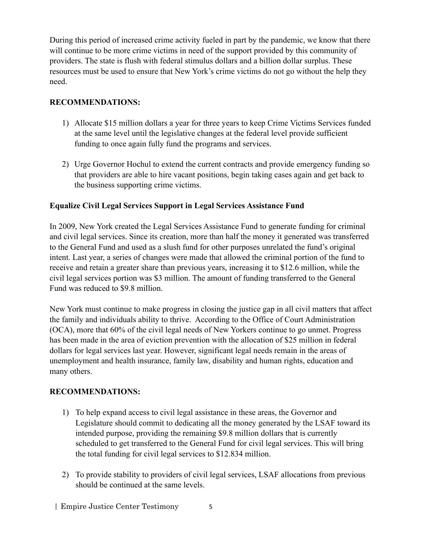During this period of increased crime activity fueled in part by the pandemic, we know that there will continue to be more crime victims in need of the support provided by this community of providers. The state is flush with federal stimulus dollars and a billion dollar surplus. These resources must be used to ensure that New York's crime victims do not go without the help they need.

### **RECOMMENDATIONS:**

- 1) Allocate \$15 million dollars a year for three years to keep Crime Victims Services funded at the same level until the legislative changes at the federal level provide sufficient funding to once again fully fund the programs and services.
- 2) Urge Governor Hochul to extend the current contracts and provide emergency funding so that providers are able to hire vacant positions, begin taking cases again and get back to the business supporting crime victims.

### **Equalize Civil Legal Services Support in Legal Services Assistance Fund**

In 2009, New York created the Legal Services Assistance Fund to generate funding for criminal and civil legal services. Since its creation, more than half the money it generated was transferred to the General Fund and used as a slush fund for other purposes unrelated the fund's original intent. Last year, a series of changes were made that allowed the criminal portion of the fund to receive and retain a greater share than previous years, increasing it to \$12.6 million, while the civil legal services portion was \$3 million. The amount of funding transferred to the General Fund was reduced to \$9.8 million.

New York must continue to make progress in closing the justice gap in all civil matters that affect the family and individuals ability to thrive. According to the Office of Court Administration (OCA), more that 60% of the civil legal needs of New Yorkers continue to go unmet. Progress has been made in the area of eviction prevention with the allocation of \$25 million in federal dollars for legal services last year. However, significant legal needs remain in the areas of unemployment and health insurance, family law, disability and human rights, education and many others.

#### **RECOMMENDATIONS:**

- 1) To help expand access to civil legal assistance in these areas, the Governor and Legislature should commit to dedicating all the money generated by the LSAF toward its intended purpose, providing the remaining \$9.8 million dollars that is currently scheduled to get transferred to the General Fund for civil legal services. This will bring the total funding for civil legal services to \$12.834 million.
- 2) To provide stability to providers of civil legal services, LSAF allocations from previous should be continued at the same levels.
- | Empire Justice Center Testimony 5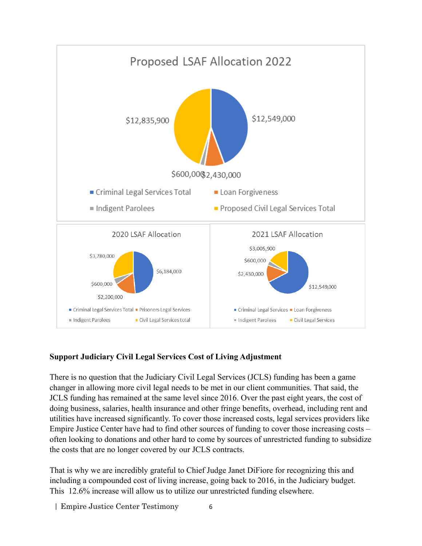

# **Support Judiciary Civil Legal Services Cost of Living Adjustment**

There is no question that the Judiciary Civil Legal Services (JCLS) funding has been a game changer in allowing more civil legal needs to be met in our client communities. That said, the JCLS funding has remained at the same level since 2016. Over the past eight years, the cost of doing business, salaries, health insurance and other fringe benefits, overhead, including rent and utilities have increased significantly. To cover those increased costs, legal services providers like Empire Justice Center have had to find other sources of funding to cover those increasing costs – often looking to donations and other hard to come by sources of unrestricted funding to subsidize the costs that are no longer covered by our JCLS contracts.

That is why we are incredibly grateful to Chief Judge Janet DiFiore for recognizing this and including a compounded cost of living increase, going back to 2016, in the Judiciary budget. This 12.6% increase will allow us to utilize our unrestricted funding elsewhere.

| Empire Justice Center Testimony 6